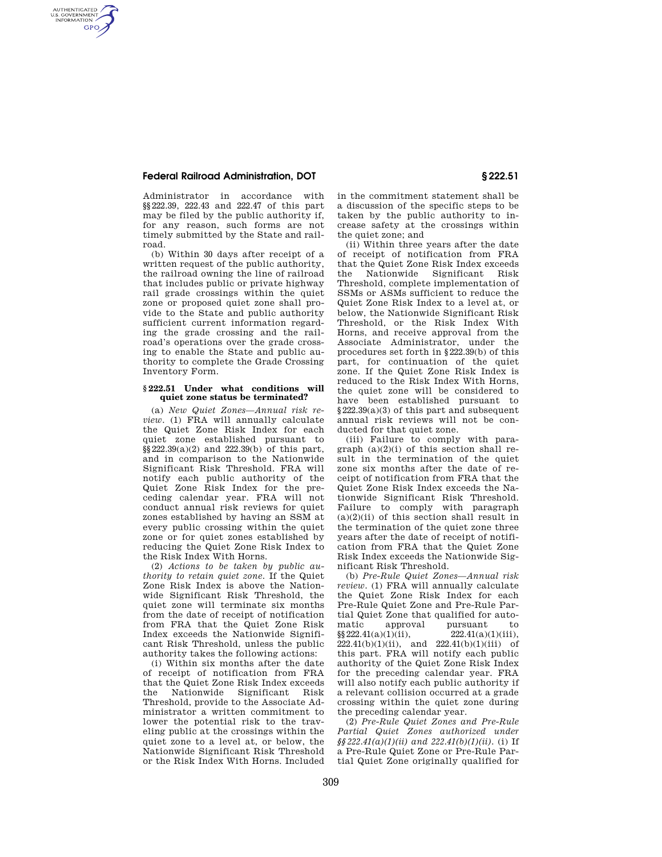## **Federal Railroad Administration, DOT § 222.51**

AUTHENTICATED<br>U.S. GOVERNMENT<br>INFORMATION **GPO** 

> Administrator in accordance with §§222.39, 222.43 and 222.47 of this part may be filed by the public authority if, for any reason, such forms are not timely submitted by the State and railroad.

> (b) Within 30 days after receipt of a written request of the public authority, the railroad owning the line of railroad that includes public or private highway rail grade crossings within the quiet zone or proposed quiet zone shall provide to the State and public authority sufficient current information regarding the grade crossing and the railroad's operations over the grade crossing to enable the State and public authority to complete the Grade Crossing Inventory Form.

#### **§ 222.51 Under what conditions will quiet zone status be terminated?**

(a) *New Quiet Zones—Annual risk review*. (1) FRA will annually calculate the Quiet Zone Risk Index for each quiet zone established pursuant to §§222.39(a)(2) and 222.39(b) of this part, and in comparison to the Nationwide Significant Risk Threshold. FRA will notify each public authority of the Quiet Zone Risk Index for the preceding calendar year. FRA will not conduct annual risk reviews for quiet zones established by having an SSM at every public crossing within the quiet zone or for quiet zones established by reducing the Quiet Zone Risk Index to the Risk Index With Horns.

(2) *Actions to be taken by public authority to retain quiet zone.* If the Quiet Zone Risk Index is above the Nationwide Significant Risk Threshold, the quiet zone will terminate six months from the date of receipt of notification from FRA that the Quiet Zone Risk Index exceeds the Nationwide Significant Risk Threshold, unless the public authority takes the following actions:

(i) Within six months after the date of receipt of notification from FRA that the Quiet Zone Risk Index exceeds the Nationwide Significant Risk Threshold, provide to the Associate Administrator a written commitment to lower the potential risk to the traveling public at the crossings within the quiet zone to a level at, or below, the Nationwide Significant Risk Threshold or the Risk Index With Horns. Included in the commitment statement shall be a discussion of the specific steps to be taken by the public authority to increase safety at the crossings within the quiet zone; and

(ii) Within three years after the date of receipt of notification from FRA that the Quiet Zone Risk Index exceeds<br>the Nationwide Significant Risk the Nationwide Significant Risk Threshold, complete implementation of SSMs or ASMs sufficient to reduce the Quiet Zone Risk Index to a level at, or below, the Nationwide Significant Risk Threshold, or the Risk Index With Horns, and receive approval from the Associate Administrator, under the procedures set forth in §222.39(b) of this part, for continuation of the quiet zone. If the Quiet Zone Risk Index is reduced to the Risk Index With Horns, the quiet zone will be considered to have been established pursuant to §222.39(a)(3) of this part and subsequent annual risk reviews will not be conducted for that quiet zone.

(iii) Failure to comply with paragraph  $(a)(2)(i)$  of this section shall result in the termination of the quiet zone six months after the date of receipt of notification from FRA that the Quiet Zone Risk Index exceeds the Nationwide Significant Risk Threshold. Failure to comply with paragraph  $(a)(2)(ii)$  of this section shall result in the termination of the quiet zone three years after the date of receipt of notification from FRA that the Quiet Zone Risk Index exceeds the Nationwide Significant Risk Threshold.

(b) *Pre-Rule Quiet Zones—Annual risk review.* (1) FRA will annually calculate the Quiet Zone Risk Index for each Pre-Rule Quiet Zone and Pre-Rule Partial Quiet Zone that qualified for automatic approval pursuant to<br>  $\frac{8222.41(a)(1)(ii)}{222.41(a)(1)(iii)}$  $\S$ §222.41(a)(1)(ii),  $222.41(b)(1)(ii)$ , and  $222.41(b)(1)(iii)$  of this part. FRA will notify each public authority of the Quiet Zone Risk Index for the preceding calendar year. FRA will also notify each public authority if a relevant collision occurred at a grade crossing within the quiet zone during the preceding calendar year.

(2) *Pre-Rule Quiet Zones and Pre-Rule Partial Quiet Zones authorized under §§222.41(a)(1)(ii) and 222.41(b)(1)(ii).* (i) If a Pre-Rule Quiet Zone or Pre-Rule Partial Quiet Zone originally qualified for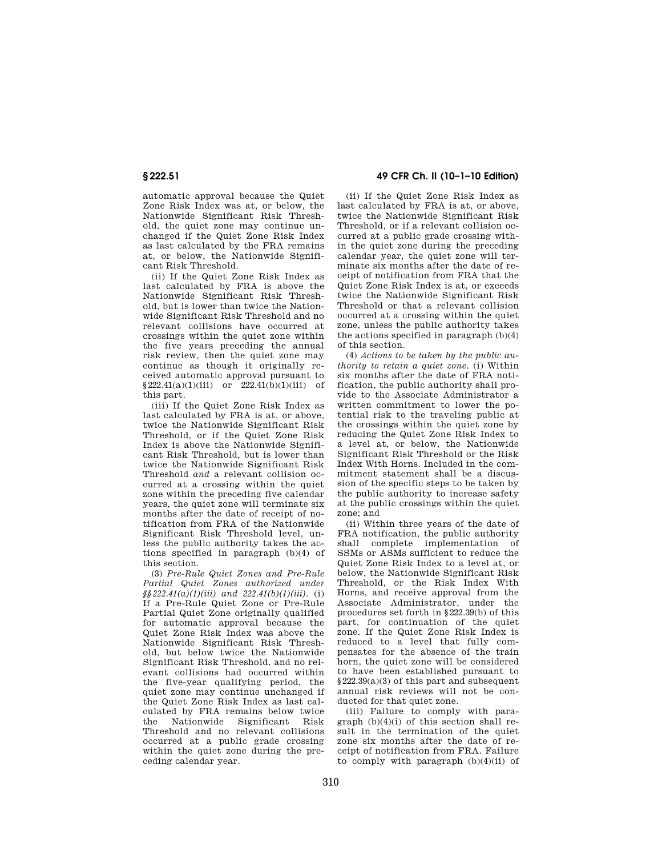automatic approval because the Quiet Zone Risk Index was at, or below, the Nationwide Significant Risk Threshold, the quiet zone may continue unchanged if the Quiet Zone Risk Index as last calculated by the FRA remains at, or below, the Nationwide Significant Risk Threshold.

(ii) If the Quiet Zone Risk Index as last calculated by FRA is above the Nationwide Significant Risk Threshold, but is lower than twice the Nationwide Significant Risk Threshold and no relevant collisions have occurred at crossings within the quiet zone within the five years preceding the annual risk review, then the quiet zone may continue as though it originally received automatic approval pursuant to  $§222.41(a)(1)(iii)$  or  $222.41(b)(1)(iii)$  of this part.

(iii) If the Quiet Zone Risk Index as last calculated by FRA is at, or above, twice the Nationwide Significant Risk Threshold, or if the Quiet Zone Risk Index is above the Nationwide Significant Risk Threshold, but is lower than twice the Nationwide Significant Risk Threshold *and* a relevant collision occurred at a crossing within the quiet zone within the preceding five calendar years, the quiet zone will terminate six months after the date of receipt of notification from FRA of the Nationwide Significant Risk Threshold level, unless the public authority takes the actions specified in paragraph (b)(4) of this section.

(3) *Pre-Rule Quiet Zones and Pre-Rule Partial Quiet Zones authorized under §§222.41(a)(1)(iii) and 222.41(b)(1)(iii).* (i) If a Pre-Rule Quiet Zone or Pre-Rule Partial Quiet Zone originally qualified for automatic approval because the Quiet Zone Risk Index was above the Nationwide Significant Risk Threshold, but below twice the Nationwide Significant Risk Threshold, and no relevant collisions had occurred within the five-year qualifying period, the quiet zone may continue unchanged if the Quiet Zone Risk Index as last calculated by FRA remains below twice the Nationwide Significant Risk Threshold and no relevant collisions occurred at a public grade crossing within the quiet zone during the preceding calendar year.

# **§ 222.51 49 CFR Ch. II (10–1–10 Edition)**

(ii) If the Quiet Zone Risk Index as last calculated by FRA is at, or above, twice the Nationwide Significant Risk Threshold, or if a relevant collision occurred at a public grade crossing within the quiet zone during the preceding calendar year, the quiet zone will terminate six months after the date of receipt of notification from FRA that the Quiet Zone Risk Index is at, or exceeds twice the Nationwide Significant Risk Threshold or that a relevant collision occurred at a crossing within the quiet zone, unless the public authority takes the actions specified in paragraph (b)(4) of this section.

(4) *Actions to be taken by the public authority to retain a quiet zone.* (i) Within six months after the date of FRA notification, the public authority shall provide to the Associate Administrator a written commitment to lower the potential risk to the traveling public at the crossings within the quiet zone by reducing the Quiet Zone Risk Index to a level at, or below, the Nationwide Significant Risk Threshold or the Risk Index With Horns. Included in the commitment statement shall be a discussion of the specific steps to be taken by the public authority to increase safety at the public crossings within the quiet zone; and

(ii) Within three years of the date of FRA notification, the public authority shall complete implementation of SSMs or ASMs sufficient to reduce the Quiet Zone Risk Index to a level at, or below, the Nationwide Significant Risk Threshold, or the Risk Index With Horns, and receive approval from the Associate Administrator, under the procedures set forth in §222.39(b) of this part, for continuation of the quiet zone. If the Quiet Zone Risk Index is reduced to a level that fully compensates for the absence of the train horn, the quiet zone will be considered to have been established pursuant to §222.39(a)(3) of this part and subsequent annual risk reviews will not be conducted for that quiet zone.

(iii) Failure to comply with paragraph (b)(4)(i) of this section shall result in the termination of the quiet zone six months after the date of receipt of notification from FRA. Failure to comply with paragraph (b)(4)(ii) of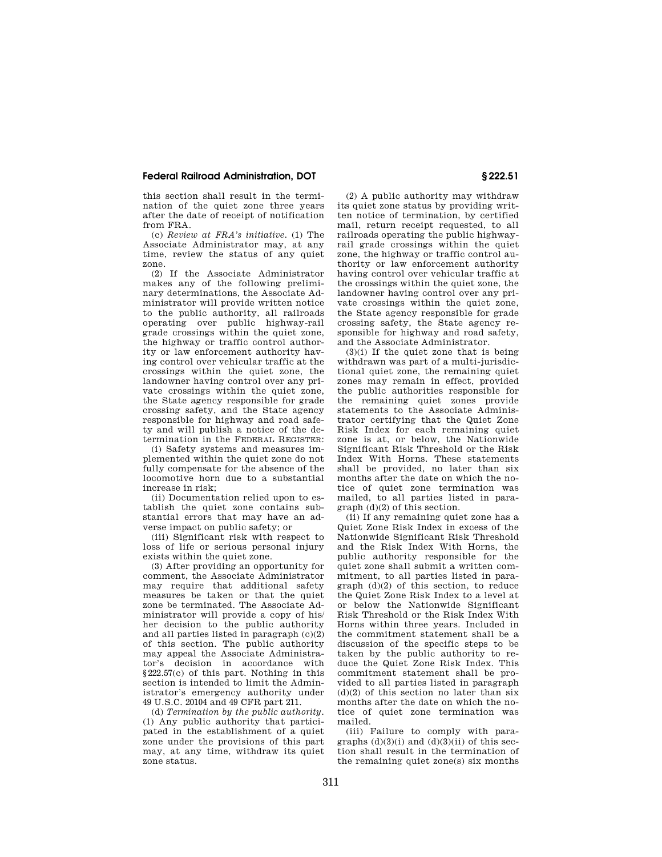### **Federal Railroad Administration, DOT § 222.51**

this section shall result in the termination of the quiet zone three years after the date of receipt of notification from FRA.

(c) *Review at FRA's initiative.* (1) The Associate Administrator may, at any time, review the status of any quiet zone.

(2) If the Associate Administrator makes any of the following preliminary determinations, the Associate Administrator will provide written notice to the public authority, all railroads operating over public highway-rail grade crossings within the quiet zone, the highway or traffic control authority or law enforcement authority having control over vehicular traffic at the crossings within the quiet zone, the landowner having control over any private crossings within the quiet zone, the State agency responsible for grade crossing safety, and the State agency responsible for highway and road safety and will publish a notice of the determination in the FEDERAL REGISTER:

(i) Safety systems and measures implemented within the quiet zone do not fully compensate for the absence of the locomotive horn due to a substantial increase in risk;

(ii) Documentation relied upon to establish the quiet zone contains substantial errors that may have an adverse impact on public safety; or

(iii) Significant risk with respect to loss of life or serious personal injury exists within the quiet zone.

(3) After providing an opportunity for comment, the Associate Administrator may require that additional safety measures be taken or that the quiet zone be terminated. The Associate Administrator will provide a copy of his/ her decision to the public authority and all parties listed in paragraph  $(c)(2)$ of this section. The public authority may appeal the Associate Administrator's decision in accordance with §222.57(c) of this part. Nothing in this section is intended to limit the Administrator's emergency authority under 49 U.S.C. 20104 and 49 CFR part 211.

(d) *Termination by the public authority.*  (1) Any public authority that participated in the establishment of a quiet zone under the provisions of this part may, at any time, withdraw its quiet zone status.

(2) A public authority may withdraw its quiet zone status by providing written notice of termination, by certified mail, return receipt requested, to all railroads operating the public highwayrail grade crossings within the quiet zone, the highway or traffic control authority or law enforcement authority having control over vehicular traffic at the crossings within the quiet zone, the landowner having control over any private crossings within the quiet zone, the State agency responsible for grade crossing safety, the State agency responsible for highway and road safety, and the Associate Administrator.

 $(3)(i)$  If the quiet zone that is being withdrawn was part of a multi-jurisdictional quiet zone, the remaining quiet zones may remain in effect, provided the public authorities responsible for the remaining quiet zones provide statements to the Associate Administrator certifying that the Quiet Zone Risk Index for each remaining quiet zone is at, or below, the Nationwide Significant Risk Threshold or the Risk Index With Horns. These statements shall be provided, no later than six months after the date on which the notice of quiet zone termination was mailed, to all parties listed in paragraph (d)(2) of this section.

(ii) If any remaining quiet zone has a Quiet Zone Risk Index in excess of the Nationwide Significant Risk Threshold and the Risk Index With Horns, the public authority responsible for the quiet zone shall submit a written commitment, to all parties listed in paragraph (d)(2) of this section, to reduce the Quiet Zone Risk Index to a level at or below the Nationwide Significant Risk Threshold or the Risk Index With Horns within three years. Included in the commitment statement shall be a discussion of the specific steps to be taken by the public authority to reduce the Quiet Zone Risk Index. This commitment statement shall be provided to all parties listed in paragraph  $(d)(2)$  of this section no later than six months after the date on which the notice of quiet zone termination was mailed.

(iii) Failure to comply with paragraphs  $(d)(3)(i)$  and  $(d)(3)(ii)$  of this section shall result in the termination of the remaining quiet zone(s) six months